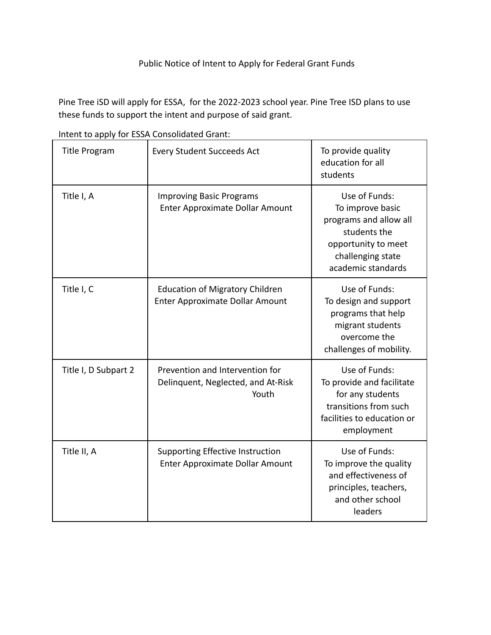## Public Notice of Intent to Apply for Federal Grant Funds

Pine Tree iSD will apply for ESSA, for the 2022-2023 school year. Pine Tree ISD plans to use these funds to support the intent and purpose of said grant.

| <b>Title Program</b> | <b>Every Student Succeeds Act</b>                                                | To provide quality<br>education for all<br>students                                                                                           |
|----------------------|----------------------------------------------------------------------------------|-----------------------------------------------------------------------------------------------------------------------------------------------|
| Title I, A           | <b>Improving Basic Programs</b><br>Enter Approximate Dollar Amount               | Use of Funds:<br>To improve basic<br>programs and allow all<br>students the<br>opportunity to meet<br>challenging state<br>academic standards |
| Title I, C           | <b>Education of Migratory Children</b><br><b>Enter Approximate Dollar Amount</b> | Use of Funds:<br>To design and support<br>programs that help<br>migrant students<br>overcome the<br>challenges of mobility.                   |
| Title I, D Subpart 2 | Prevention and Intervention for<br>Delinquent, Neglected, and At-Risk<br>Youth   | Use of Funds:<br>To provide and facilitate<br>for any students<br>transitions from such<br>facilities to education or<br>employment           |
| Title II, A          | Supporting Effective Instruction<br>Enter Approximate Dollar Amount              | Use of Funds:<br>To improve the quality<br>and effectiveness of<br>principles, teachers,<br>and other school<br>leaders                       |

Intent to apply for ESSA Consolidated Grant: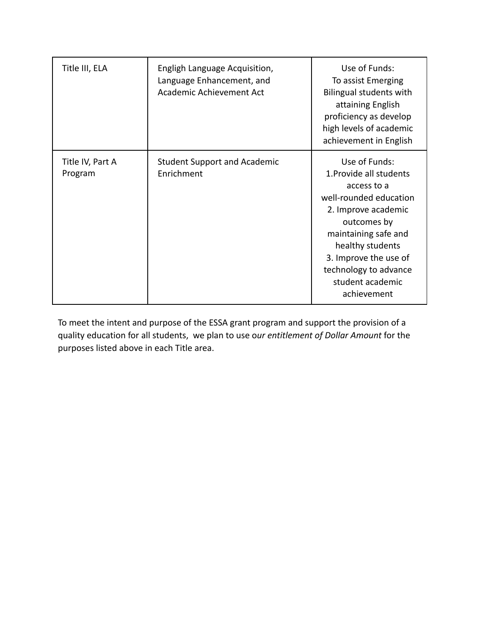| Title III, ELA              | Engligh Language Acquisition,<br>Language Enhancement, and<br>Academic Achievement Act | Use of Funds:<br>To assist Emerging<br>Bilingual students with<br>attaining English<br>proficiency as develop<br>high levels of academic<br>achievement in English                                                                                       |
|-----------------------------|----------------------------------------------------------------------------------------|----------------------------------------------------------------------------------------------------------------------------------------------------------------------------------------------------------------------------------------------------------|
| Title IV, Part A<br>Program | <b>Student Support and Academic</b><br>Enrichment                                      | Use of Funds:<br>1. Provide all students<br>access to a<br>well-rounded education<br>2. Improve academic<br>outcomes by<br>maintaining safe and<br>healthy students<br>3. Improve the use of<br>technology to advance<br>student academic<br>achievement |

To meet the intent and purpose of the ESSA grant program and support the provision of a quality education for all students, we plan to use o*ur entitlement of Dollar Amount* for the purposes listed above in each Title area.